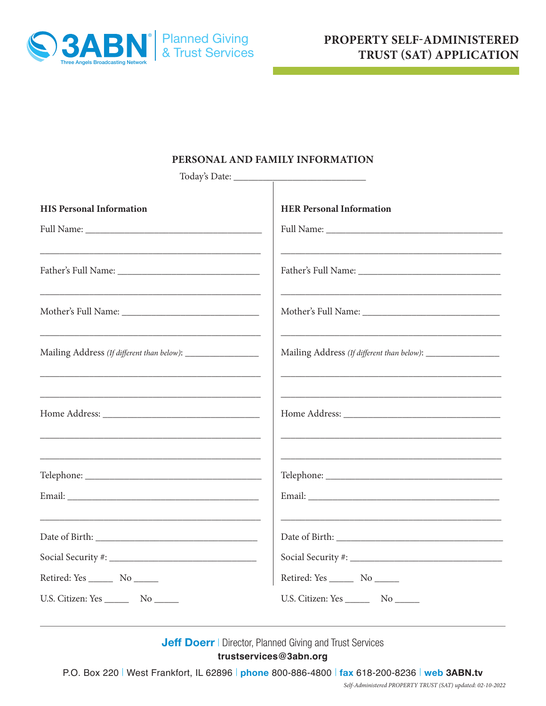

# **PERSONAL AND FAMILY INFORMATION**

| Today's Date:                                                        |                                                             |
|----------------------------------------------------------------------|-------------------------------------------------------------|
| <b>HIS Personal Information</b>                                      | <b>HER Personal Information</b>                             |
|                                                                      |                                                             |
|                                                                      |                                                             |
|                                                                      |                                                             |
|                                                                      |                                                             |
| Mailing Address (If different than below): ________________          | Mailing Address (If different than below): ________________ |
| <u> 1989 - Johann Barn, mars an t-Amerikaansk politiker (* 1908)</u> |                                                             |
|                                                                      |                                                             |
|                                                                      |                                                             |
|                                                                      |                                                             |
| <u> 1980 - Jan James James, politik fizikar (h. 1980).</u>           |                                                             |
|                                                                      |                                                             |
|                                                                      |                                                             |
|                                                                      | Retired: Yes _________ No ______                            |
|                                                                      |                                                             |

**Jeff Doerr | Director, Planned Giving and Trust Services trustservices@3abn.org**

P.O. Box 220 | West Frankfort, IL 62896 | **phone** 800-886-4800 | **fax** 618-200-8236 | **web 3ABN.tv**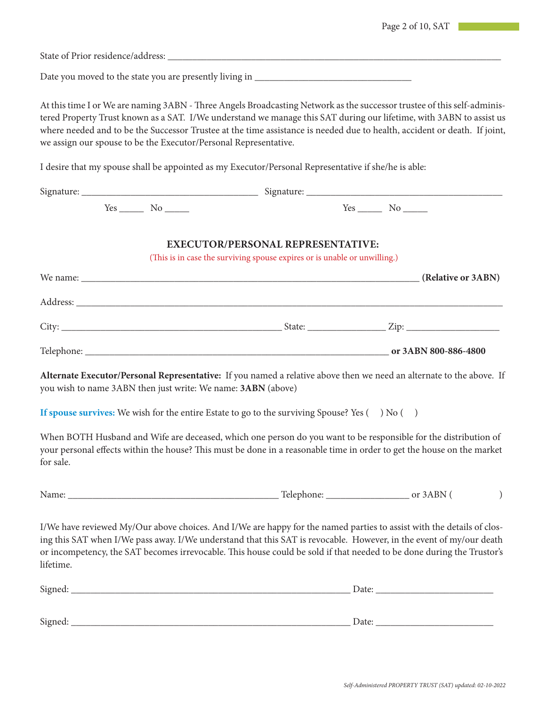|           |  |                                                                                                                                                                                                                                                                                                                                                                                                                                                 | Page 2 of 10, SAT |  |
|-----------|--|-------------------------------------------------------------------------------------------------------------------------------------------------------------------------------------------------------------------------------------------------------------------------------------------------------------------------------------------------------------------------------------------------------------------------------------------------|-------------------|--|
|           |  |                                                                                                                                                                                                                                                                                                                                                                                                                                                 |                   |  |
|           |  |                                                                                                                                                                                                                                                                                                                                                                                                                                                 |                   |  |
|           |  | At this time I or We are naming 3ABN - Three Angels Broadcasting Network as the successor trustee of this self-adminis-<br>tered Property Trust known as a SAT. I/We understand we manage this SAT during our lifetime, with 3ABN to assist us<br>where needed and to be the Successor Trustee at the time assistance is needed due to health, accident or death. If joint,<br>we assign our spouse to be the Executor/Personal Representative. |                   |  |
|           |  | I desire that my spouse shall be appointed as my Executor/Personal Representative if she/he is able:                                                                                                                                                                                                                                                                                                                                            |                   |  |
|           |  |                                                                                                                                                                                                                                                                                                                                                                                                                                                 |                   |  |
|           |  |                                                                                                                                                                                                                                                                                                                                                                                                                                                 |                   |  |
|           |  | <b>EXECUTOR/PERSONAL REPRESENTATIVE:</b><br>(This is in case the surviving spouse expires or is unable or unwilling.)                                                                                                                                                                                                                                                                                                                           |                   |  |
|           |  |                                                                                                                                                                                                                                                                                                                                                                                                                                                 |                   |  |
|           |  |                                                                                                                                                                                                                                                                                                                                                                                                                                                 |                   |  |
|           |  |                                                                                                                                                                                                                                                                                                                                                                                                                                                 |                   |  |
|           |  |                                                                                                                                                                                                                                                                                                                                                                                                                                                 |                   |  |
|           |  | Alternate Executor/Personal Representative: If you named a relative above then we need an alternate to the above. If<br>you wish to name 3ABN then just write: We name: 3ABN (above)                                                                                                                                                                                                                                                            |                   |  |
|           |  | If spouse survives: We wish for the entire Estate to go to the surviving Spouse? Yes $(\quad)$ No $(\quad)$                                                                                                                                                                                                                                                                                                                                     |                   |  |
| for sale. |  | When BOTH Husband and Wife are deceased, which one person do you want to be responsible for the distribution of<br>your personal effects within the house? This must be done in a reasonable time in order to get the house on the market                                                                                                                                                                                                       |                   |  |
|           |  |                                                                                                                                                                                                                                                                                                                                                                                                                                                 |                   |  |
| lifetime. |  | I/We have reviewed My/Our above choices. And I/We are happy for the named parties to assist with the details of clos-<br>ing this SAT when I/We pass away. I/We understand that this SAT is revocable. However, in the event of my/our death<br>or incompetency, the SAT becomes irrevocable. This house could be sold if that needed to be done during the Trustor's                                                                           |                   |  |
|           |  |                                                                                                                                                                                                                                                                                                                                                                                                                                                 |                   |  |
|           |  |                                                                                                                                                                                                                                                                                                                                                                                                                                                 |                   |  |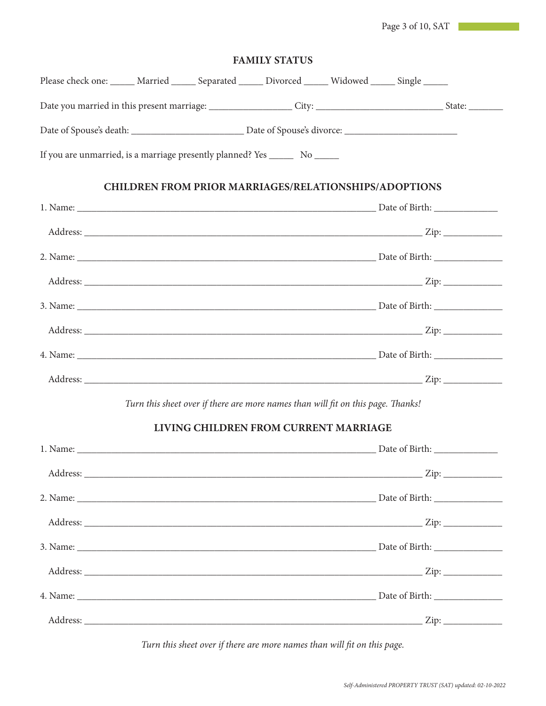Page 3 of 10, SAT

|                                                                                                 |  | <b>FAMILY STATUS</b>                                                             |                |  |
|-------------------------------------------------------------------------------------------------|--|----------------------------------------------------------------------------------|----------------|--|
| Please check one: _____ Married _____ Separated _____ Divorced _____ Widowed _____ Single _____ |  |                                                                                  |                |  |
|                                                                                                 |  |                                                                                  |                |  |
|                                                                                                 |  |                                                                                  |                |  |
| If you are unmarried, is a marriage presently planned? Yes ________ No _______                  |  |                                                                                  |                |  |
|                                                                                                 |  | <b>CHILDREN FROM PRIOR MARRIAGES/RELATIONSHIPS/ADOPTIONS</b>                     |                |  |
|                                                                                                 |  |                                                                                  |                |  |
|                                                                                                 |  |                                                                                  |                |  |
|                                                                                                 |  |                                                                                  |                |  |
|                                                                                                 |  |                                                                                  |                |  |
|                                                                                                 |  |                                                                                  |                |  |
|                                                                                                 |  |                                                                                  |                |  |
|                                                                                                 |  |                                                                                  |                |  |
|                                                                                                 |  |                                                                                  |                |  |
|                                                                                                 |  | Turn this sheet over if there are more names than will fit on this page. Thanks! |                |  |
|                                                                                                 |  | LIVING CHILDREN FROM CURRENT MARRIAGE                                            |                |  |
| 1. Name:                                                                                        |  |                                                                                  | Date of Birth: |  |
|                                                                                                 |  |                                                                                  |                |  |
|                                                                                                 |  |                                                                                  |                |  |
|                                                                                                 |  |                                                                                  |                |  |
|                                                                                                 |  |                                                                                  |                |  |
|                                                                                                 |  |                                                                                  |                |  |
|                                                                                                 |  |                                                                                  |                |  |
|                                                                                                 |  |                                                                                  |                |  |

*Turn this sheet over if there are more names than will fit on this page.*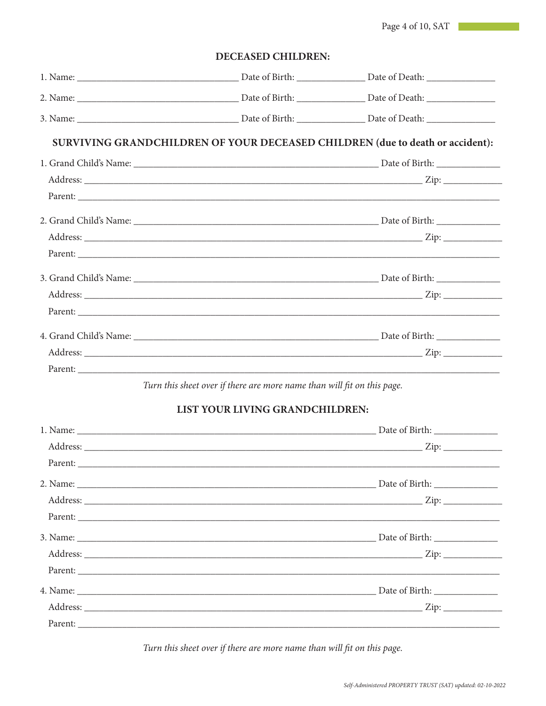Page 4 of 10, SAT

DECEASED CHILDREN:

|  | SURVIVING GRANDCHILDREN OF YOUR DECEASED CHILDREN (due to death or accident): |
|--|-------------------------------------------------------------------------------|
|  |                                                                               |
|  |                                                                               |
|  |                                                                               |
|  |                                                                               |
|  |                                                                               |
|  |                                                                               |
|  |                                                                               |
|  |                                                                               |
|  |                                                                               |
|  |                                                                               |
|  |                                                                               |
|  |                                                                               |

Turn this sheet over if there are more name than will fit on this page.

# LIST YOUR LIVING GRANDCHILDREN:

Turn this sheet over if there are more name than will fit on this page.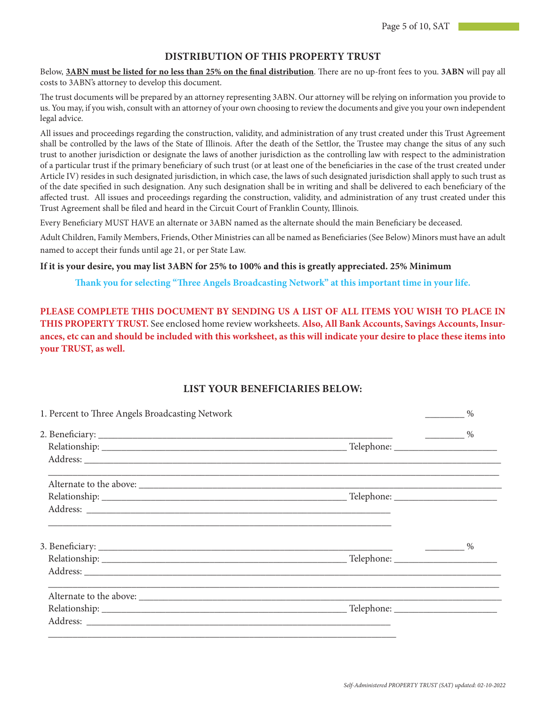## **DISTRIBUTION OF THIS PROPERTY TRUST**

Below, **3ABN must be listed for no less than 25% on the final distribution**. There are no up-front fees to you. **3ABN** will pay all costs to 3ABN's attorney to develop this document.

The trust documents will be prepared by an attorney representing 3ABN. Our attorney will be relying on information you provide to us. You may, if you wish, consult with an attorney of your own choosing to review the documents and give you your own independent legal advice.

All issues and proceedings regarding the construction, validity, and administration of any trust created under this Trust Agreement shall be controlled by the laws of the State of Illinois. After the death of the Settlor, the Trustee may change the situs of any such trust to another jurisdiction or designate the laws of another jurisdiction as the controlling law with respect to the administration of a particular trust if the primary beneficiary of such trust (or at least one of the beneficiaries in the case of the trust created under Article IV) resides in such designated jurisdiction, in which case, the laws of such designated jurisdiction shall apply to such trust as of the date specified in such designation. Any such designation shall be in writing and shall be delivered to each beneficiary of the affected trust. All issues and proceedings regarding the construction, validity, and administration of any trust created under this Trust Agreement shall be filed and heard in the Circuit Court of Franklin County, Illinois.

Every Beneficiary MUST HAVE an alternate or 3ABN named as the alternate should the main Beneficiary be deceased.

Adult Children, Family Members, Friends, Other Ministries can all be named as Beneficiaries (See Below) Minors must have an adult named to accept their funds until age 21, or per State Law.

#### **If it is your desire, you may list 3ABN for 25% to 100% and this is greatly appreciated. 25% Minimum**

**Thank you for selecting "Three Angels Broadcasting Network" at this important time in your life.**

**PLEASE COMPLETE THIS DOCUMENT BY SENDING US A LIST OF ALL ITEMS YOU WISH TO PLACE IN THIS PROPERTY TRUST.** See enclosed home review worksheets. **Also, All Bank Accounts, Savings Accounts, Insurances, etc can and should be included with this worksheet, as this will indicate your desire to place these items into your TRUST, as well.**

#### **LIST YOUR BENEFICIARIES BELOW:**

| 1. Percent to Three Angels Broadcasting Network |               | $\%$                             |  |
|-------------------------------------------------|---------------|----------------------------------|--|
|                                                 | $\frac{9}{6}$ |                                  |  |
|                                                 |               |                                  |  |
|                                                 |               |                                  |  |
|                                                 |               |                                  |  |
|                                                 |               |                                  |  |
|                                                 |               |                                  |  |
|                                                 |               | $\%$<br>$\overline{\phantom{a}}$ |  |
|                                                 |               |                                  |  |
|                                                 |               |                                  |  |
|                                                 |               |                                  |  |
|                                                 |               |                                  |  |
|                                                 |               |                                  |  |
|                                                 |               |                                  |  |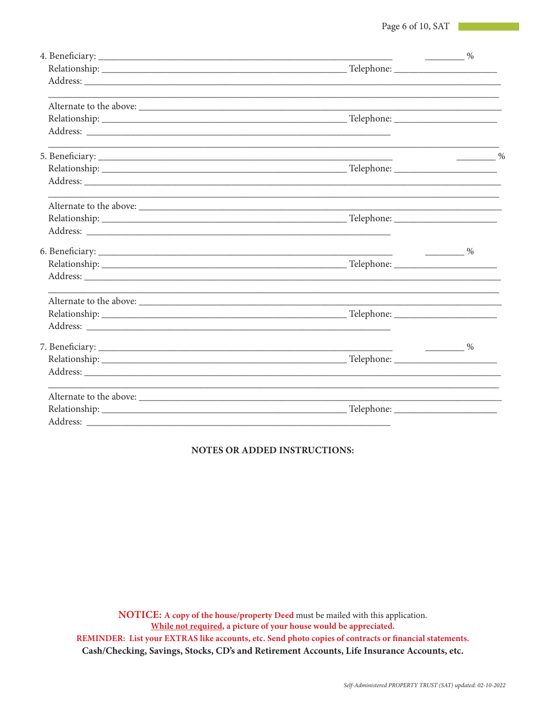|          | $\frac{1}{\sqrt{2}}$ $\frac{1}{\sqrt{2}}$ $\frac{1}{\sqrt{2}}$ $\frac{1}{\sqrt{2}}$ $\frac{1}{\sqrt{2}}$ $\frac{1}{\sqrt{2}}$ $\frac{1}{\sqrt{2}}$ $\frac{1}{\sqrt{2}}$ $\frac{1}{\sqrt{2}}$ $\frac{1}{\sqrt{2}}$ $\frac{1}{\sqrt{2}}$ $\frac{1}{\sqrt{2}}$ $\frac{1}{\sqrt{2}}$ $\frac{1}{\sqrt{2}}$ $\frac{1}{\sqrt{2}}$ $\frac{1}{\sqrt{2}}$ $\frac{1}{\sqrt{2}}$ |               |
|----------|----------------------------------------------------------------------------------------------------------------------------------------------------------------------------------------------------------------------------------------------------------------------------------------------------------------------------------------------------------------------|---------------|
|          |                                                                                                                                                                                                                                                                                                                                                                      |               |
|          |                                                                                                                                                                                                                                                                                                                                                                      |               |
|          |                                                                                                                                                                                                                                                                                                                                                                      |               |
|          |                                                                                                                                                                                                                                                                                                                                                                      |               |
|          |                                                                                                                                                                                                                                                                                                                                                                      |               |
|          |                                                                                                                                                                                                                                                                                                                                                                      | $\frac{0}{2}$ |
|          |                                                                                                                                                                                                                                                                                                                                                                      |               |
|          |                                                                                                                                                                                                                                                                                                                                                                      |               |
|          |                                                                                                                                                                                                                                                                                                                                                                      |               |
|          |                                                                                                                                                                                                                                                                                                                                                                      |               |
|          |                                                                                                                                                                                                                                                                                                                                                                      |               |
|          |                                                                                                                                                                                                                                                                                                                                                                      |               |
|          |                                                                                                                                                                                                                                                                                                                                                                      |               |
|          |                                                                                                                                                                                                                                                                                                                                                                      |               |
|          |                                                                                                                                                                                                                                                                                                                                                                      |               |
|          |                                                                                                                                                                                                                                                                                                                                                                      |               |
|          |                                                                                                                                                                                                                                                                                                                                                                      |               |
|          |                                                                                                                                                                                                                                                                                                                                                                      | $\frac{9}{6}$ |
|          |                                                                                                                                                                                                                                                                                                                                                                      |               |
|          |                                                                                                                                                                                                                                                                                                                                                                      |               |
|          |                                                                                                                                                                                                                                                                                                                                                                      |               |
|          |                                                                                                                                                                                                                                                                                                                                                                      |               |
| Address: |                                                                                                                                                                                                                                                                                                                                                                      |               |

## **NOTES OR ADDED INSTRUCTIONS:**

NOTICE: A copy of the house/property Deed must be mailed with this application. While not required, a picture of your house would be appreciated. REMINDER: List your EXTRAS like accounts, etc. Send photo copies of contracts or financial statements. Cash/Checking, Savings, Stocks, CD's and Retirement Accounts, Life Insurance Accounts, etc.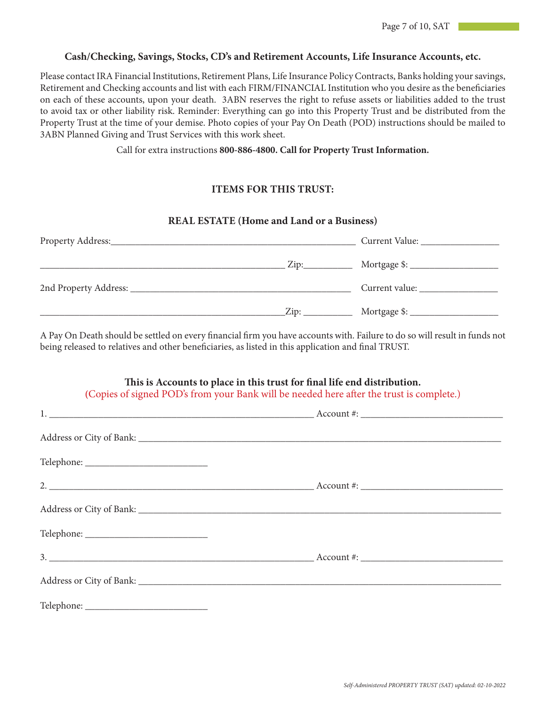## **Cash/Checking, Savings, Stocks, CD's and Retirement Accounts, Life Insurance Accounts, etc.**

Please contact IRA Financial Institutions, Retirement Plans, Life Insurance Policy Contracts, Banks holding your savings, Retirement and Checking accounts and list with each FIRM/FINANCIAL Institution who you desire as the beneficiaries on each of these accounts, upon your death. 3ABN reserves the right to refuse assets or liabilities added to the trust to avoid tax or other liability risk. Reminder: Everything can go into this Property Trust and be distributed from the Property Trust at the time of your demise. Photo copies of your Pay On Death (POD) instructions should be mailed to 3ABN Planned Giving and Trust Services with this work sheet.

Call for extra instructions **800-886-4800. Call for Property Trust Information.**

## **ITEMS FOR THIS TRUST:**

#### **REAL ESTATE (Home and Land or a Business)**

| Property Address: |      | Current Value: |
|-------------------|------|----------------|
|                   |      |                |
|                   |      | Current value: |
|                   | Zip: |                |

A Pay On Death should be settled on every financial firm you have accounts with. Failure to do so will result in funds not being released to relatives and other beneficiaries, as listed in this application and final TRUST.

# **This is Accounts to place in this trust for final life end distribution.**

**(**Copies of signed POD's from your Bank will be needed here after the trust is complete.)

| 1. $\frac{1}{2}$ Account #: |  |
|-----------------------------|--|
|                             |  |
|                             |  |
|                             |  |
|                             |  |
|                             |  |
|                             |  |
|                             |  |
|                             |  |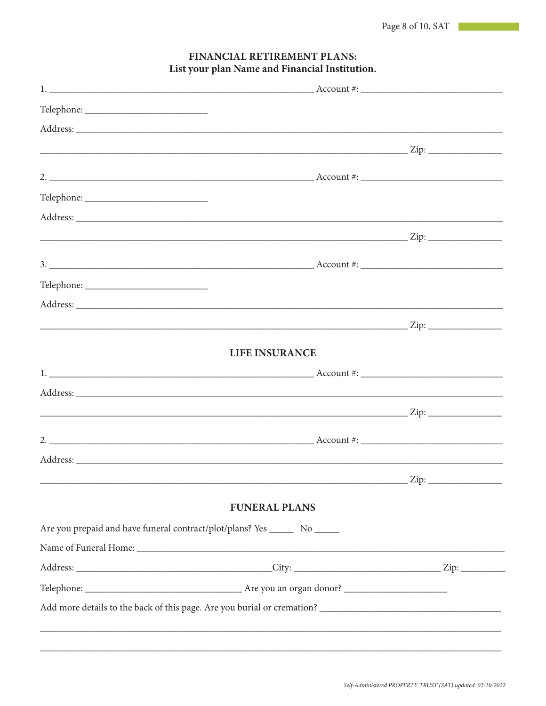| <b>LIFE INSURANCE</b>                                                         |
|-------------------------------------------------------------------------------|
|                                                                               |
|                                                                               |
|                                                                               |
| 2. $\frac{1}{2}$ Account #:                                                   |
|                                                                               |
|                                                                               |
| <b>FUNERAL PLANS</b>                                                          |
| Are you prepaid and have funeral contract/plot/plans? Yes ________ No _______ |
|                                                                               |
|                                                                               |
|                                                                               |
|                                                                               |

# FINANCIAL RETIREMENT PLANS: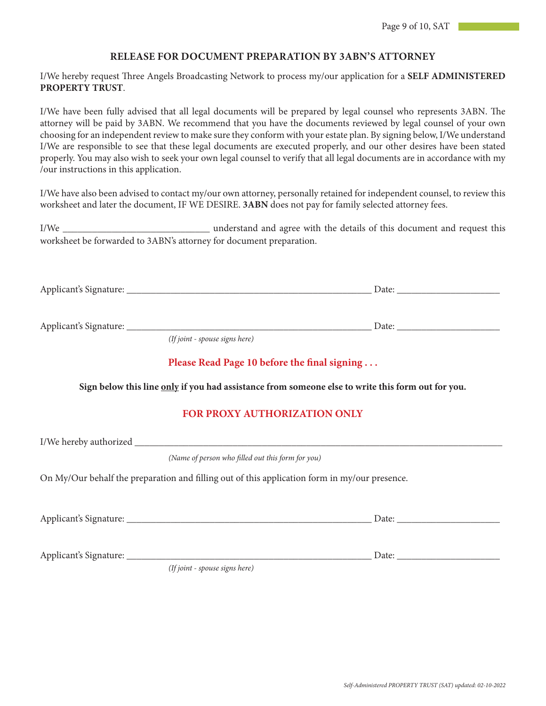#### **RELEASE FOR DOCUMENT PREPARATION BY 3ABN'S ATTORNEY**

I/We hereby request Three Angels Broadcasting Network to process my/our application for a **SELF ADMINISTERED PROPERTY TRUST**.

I/We have been fully advised that all legal documents will be prepared by legal counsel who represents 3ABN. The attorney will be paid by 3ABN. We recommend that you have the documents reviewed by legal counsel of your own choosing for an independent review to make sure they conform with your estate plan. By signing below, I/We understand I/We are responsible to see that these legal documents are executed properly, and our other desires have been stated properly. You may also wish to seek your own legal counsel to verify that all legal documents are in accordance with my /our instructions in this application.

I/We have also been advised to contact my/our own attorney, personally retained for independent counsel, to review this worksheet and later the document, IF WE DESIRE. **3ABN** does not pay for family selected attorney fees.

I/We \_\_\_\_\_\_\_\_\_\_\_\_\_\_\_\_\_\_\_\_\_\_\_\_\_\_\_\_\_\_ understand and agree with the details of this document and request this worksheet be forwarded to 3ABN's attorney for document preparation.

| (If joint - spouse signs here)                                                                    |
|---------------------------------------------------------------------------------------------------|
| Please Read Page 10 before the final signing                                                      |
| Sign below this line only if you had assistance from someone else to write this form out for you. |
| FOR PROXY AUTHORIZATION ONLY                                                                      |
|                                                                                                   |
| (Name of person who filled out this form for you)                                                 |
| On My/Our behalf the preparation and filling out of this application form in my/our presence.     |
|                                                                                                   |
|                                                                                                   |

*(If joint - spouse signs here)*